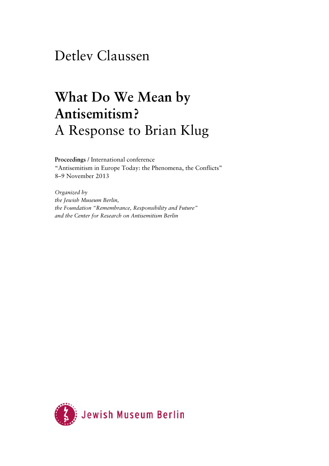## Detlev Claussen

## **What Do We Mean by Antisemitism?**  A Response to Brian Klug

**Proceedings** / International conference "Antisemitism in Europe Today: the Phenomena, the Conflicts" 8–9 November 2013

*Organized by the Jewish Museum Berlin, the Foundation "Remembrance, Responsibility and Future" and the Center for Research on Antisemitism Berlin* 

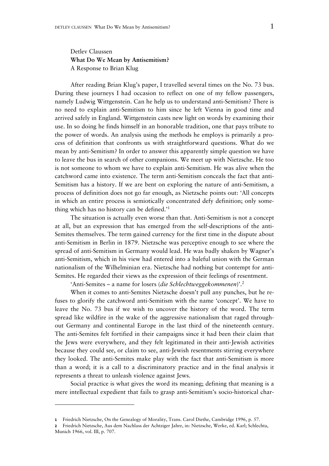## Detlev Claussen **What Do We Mean by Antisemitism?**  A Response to Brian Klug

After reading Brian Klug's paper, I travelled several times on the No. 73 bus. During these journeys I had occasion to reflect on one of my fellow passengers, namely Ludwig Wittgenstein. Can he help us to understand anti-Semitism? There is no need to explain anti-Semitism to him since he left Vienna in good time and arrived safely in England. Wittgenstein casts new light on words by examining their use. In so doing he finds himself in an honorable tradition, one that pays tribute to the power of words. An analysis using the methods he employs is primarily a process of definition that confronts us with straightforward questions. What do we mean by anti-Semitism? In order to answer this apparently simple question we have to leave the bus in search of other companions. We meet up with Nietzsche. He too is not someone to whom we have to explain anti-Semitism. He was alive when the catchword came into existence. The term anti-Semitism conceals the fact that anti-Semitism has a history. If we are bent on exploring the nature of anti-Semitism, a process of definition does not go far enough, as Nietzsche points out: 'All concepts in which an entire process is semiotically concentrated defy definition; only something which has no history can be defined.'1

The situation is actually even worse than that. Anti-Semitism is not a concept at all, but an expression that has emerged from the self-descriptions of the anti-Semites themselves. The term gained currency for the first time in the dispute about anti-Semitism in Berlin in 1879. Nietzsche was perceptive enough to see where the spread of anti-Semitism in Germany would lead. He was badly shaken by Wagner's anti-Semitism, which in his view had entered into a baleful union with the German nationalism of the Wilhelminian era. Nietzsche had nothing but contempt for anti-Semites. He regarded their views as the expression of their feelings of resentment.

'Anti-Semites – a name for losers (*die Schlechtweggekommenen*)'.2

When it comes to anti-Semites Nietzsche doesn't pull any punches, but he refuses to glorify the catchword anti-Semitism with the name 'concept'. We have to leave the No. 73 bus if we wish to uncover the history of the word. The term spread like wildfire in the wake of the aggressive nationalism that raged throughout Germany and continental Europe in the last third of the nineteenth century. The anti-Semites felt fortified in their campaigns since it had been their claim that the Jews were everywhere, and they felt legitimated in their anti-Jewish activities because they could see, or claim to see, anti-Jewish resentments stirring everywhere they looked. The anti-Semites make play with the fact that anti-Semitism is more than a word; it is a call to a discriminatory practice and in the final analysis it represents a threat to unleash violence against Jews.

Social practice is what gives the word its meaning; defining that meaning is a mere intellectual expedient that fails to grasp anti-Semitism's socio-historical char-

**<sup>1</sup>** Friedrich Nietzsche, On the Genealogy of Morality, Trans. Carol Diethe, Cambridge 1996, p. 57.

**<sup>2</sup>** Friedrich Nietzsche, Aus dem Nachlass der Achtziger Jahre, in: Nietzsche, Werke, ed. Karl; Schlechta, Munich 1966, vol. III, p. 707.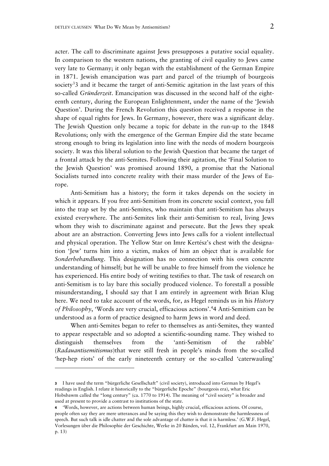acter. The call to discriminate against Jews presupposes a putative social equality. In comparison to the western nations, the granting of civil equality to Jews came very late to Germany; it only began with the establishment of the German Empire in 1871. Jewish emancipation was part and parcel of the triumph of bourgeois society<sup>3</sup>3 and it became the target of anti-Semitic agitation in the last years of this so-called *Gründerzeit*. Emancipation was discussed in the second half of the eighteenth century, during the European Enlightenment, under the name of the 'Jewish Question'. During the French Revolution this question received a response in the shape of equal rights for Jews. In Germany, however, there was a significant delay. The Jewish Question only became a topic for debate in the run-up to the 1848 Revolutions; only with the emergence of the German Empire did the state became strong enough to bring its legislation into line with the needs of modern bourgeois society. It was this liberal solution to the Jewish Question that became the target of a frontal attack by the anti-Semites. Following their agitation, the 'Final Solution to the Jewish Question' was promised around 1890, a promise that the National Socialists turned into concrete reality with their mass murder of the Jews of Europe.

Anti-Semitism has a history; the form it takes depends on the society in which it appears. If you free anti-Semitism from its concrete social context, you fall into the trap set by the anti-Semites, who maintain that anti-Semitism has always existed everywhere. The anti-Semites link their anti-Semitism to real, living Jews whom they wish to discriminate against and persecute. But the Jews they speak about are an abstraction. Converting Jews into Jews calls for a violent intellectual and physical operation. The Yellow Star on Imre Kertész's chest with the designation 'Jew' turns him into a victim, makes of him an object that is available for *Sonderbehandlung*. This designation has no connection with his own concrete understanding of himself; but he will be unable to free himself from the violence he has experienced. His entire body of writing testifies to that. The task of research on anti-Semitism is to lay bare this socially produced violence. To forestall a possible misunderstanding, I should say that I am entirely in agreement with Brian Klug here. We need to take account of the words, for, as Hegel reminds us in his *History of Philosophy*, 'Words are very crucial, efficacious actions'.4 4 Anti-Semitism can be understood as a form of practice designed to harm Jews in word and deed.

When anti-Semites began to refer to themselves as anti-Semites, they wanted to appear respectable and so adopted a scientific-sounding name. They wished to distinguish themselves from the 'anti-Semitism of the rabble' (*Radauantisemitismus*)that were still fresh in people's minds from the so-called 'hep-hep riots' of the early nineteenth century or the so-called 'caterwauling'

**<sup>3</sup>** I have used the term "bürgerliche Gesellschaft" (civil society), introduced into German by Hegel's readings in English. I relate it historically to the "bürgerliche Epoche" (bourgeois era), what Eric Hobsbawm called the "long century" (ca. 1770 to 1914). The meaning of "civil society" is broader and used at present to provide a contrast to institutions of the state.

**<sup>4</sup>** 'Words, however, are actions between human beings, highly crucial, efficacious actions. Of course, people often say they are mere utterances and be saying this they wish to demonstrate the harmlessness of speech. But such talk is idle chatter and the sole advantage of chatter is that it is harmless.' (G.W.F. Hegel, Vorlesungen über die Philosophie der Geschichte, Werke in 20 Bänden, vol. 12, Frankfurt am Main 1970, p. 13)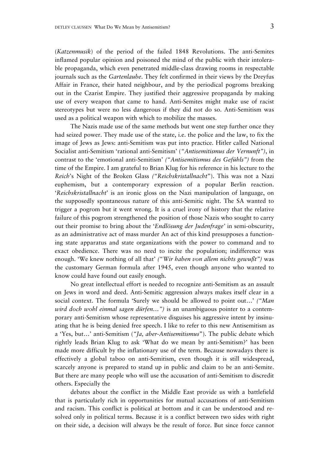(*Katzenmusik*) of the period of the failed 1848 Revolutions. The anti-Semites inflamed popular opinion and poisoned the mind of the public with their intolerable propaganda, which even penetrated middle-class drawing rooms in respectable journals such as the *Gartenlaube*. They felt confirmed in their views by the Dreyfus Affair in France, their hated neighbour, and by the periodical pogroms breaking out in the Czarist Empire. They justified their aggressive propaganda by making use of every weapon that came to hand. Anti-Semites might make use of racist stereotypes but were no less dangerous if they did not do so. Anti-Semitism was used as a political weapon with which to mobilize the masses.

The Nazis made use of the same methods but went one step further once they had seized power. They made use of the state, i.e. the police and the law, to fix the image of Jews as Jews: anti-Semitism was put into practice. Hitler called National Socialist anti-Semitism 'rational anti-Semitism' (*"Antisemitismus der Vernunft")*, in contrast to the 'emotional anti-Semitism' *("Antisemitismus des Gefühls")* from the time of the Empire. I am grateful to Brian Klug for his reference in his lecture to the *Reich*'s Night of the Broken Glass *("Reichskristallnacht*"). This was not a Nazi euphemism, but a contemporary expression of a popular Berlin reaction. '*Reichskristallnacht*' is an ironic gloss on the Nazi manipulation of language, on the supposedly spontaneous nature of this anti-Semitic night. The SA wanted to trigger a pogrom but it went wrong. It is a cruel irony of history that the relative failure of this pogrom strengthened the position of those Nazis who sought to carry out their promise to bring about the '*Endlösung der Judenfrage'* in semi-obscurity, as an administrative act of mass murder An act of this kind presupposes a functioning state apparatus and state organizations with the power to command and to exact obedience. There was no need to incite the population; indifference was enough. 'We knew nothing of all that' *("Wir haben von allem nichts gewußt")* was the customary German formula after 1945, even though anyone who wanted to know could have found out easily enough.

No great intellectual effort is needed to recognize anti-Semitism as an assault on Jews in word and deed. Anti-Semitic aggression always makes itself clear in a social context. The formula 'Surely we should be allowed to point out…' *("Man wird doch wohl einmal sagen dürfen…")* is an unambiguous pointer to a contemporary anti-Semitism whose representative disguises his aggressive intent by insinuating that he is being denied free speech. I like to refer to this new Antisemitism as a 'Yes, but…' anti-Semitism (*"Ja, aber-Antisemitismus*"). The public debate which rightly leads Brian Klug to ask 'What do we mean by anti-Semitism?' has been made more difficult by the inflationary use of the term. Because nowadays there is effectively a global taboo on anti-Semitism, even though it is still widespread, scarcely anyone is prepared to stand up in public and claim to be an anti-Semite. But there are many people who will use the accusation of anti-Semitism to discredit others. Especially the

debates about the conflict in the Middle East provide us with a battlefield that is particularly rich in opportunities for mutual accusations of anti-Semitism and racism. This conflict is political at bottom and it can be understood and resolved only in political terms. Because it is a conflict between two sides with right on their side, a decision will always be the result of force. But since force cannot